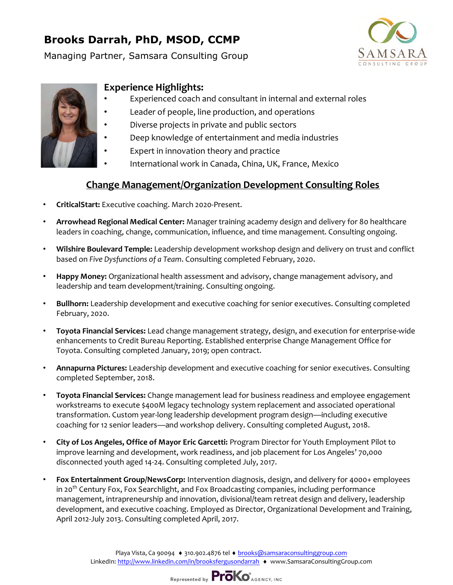# Brooks Darrah, PhD, MSOD, CCMP

Managing Partner, Samsara Consulting Group





# Experience Highlights:

- Experienced coach and consultant in internal and external roles
- Leader of people, line production, and operations
- Diverse projects in private and public sectors
- Deep knowledge of entertainment and media industries
- Expert in innovation theory and practice
- International work in Canada, China, UK, France, Mexico

# Change Management/Organization Development Consulting Roles

- CriticalStart: Executive coaching. March 2020-Present.
- Arrowhead Regional Medical Center: Manager training academy design and delivery for 80 healthcare leaders in coaching, change, communication, influence, and time management. Consulting ongoing.
- Wilshire Boulevard Temple: Leadership development workshop design and delivery on trust and conflict based on Five Dysfunctions of a Team. Consulting completed February, 2020.
- Happy Money: Organizational health assessment and advisory, change management advisory, and leadership and team development/training. Consulting ongoing.
- Bullhorn: Leadership development and executive coaching for senior executives. Consulting completed February, 2020.
- Toyota Financial Services: Lead change management strategy, design, and execution for enterprise-wide enhancements to Credit Bureau Reporting. Established enterprise Change Management Office for Toyota. Consulting completed January, 2019; open contract.
- Annapurna Pictures: Leadership development and executive coaching for senior executives. Consulting completed September, 2018.
- Toyota Financial Services: Change management lead for business readiness and employee engagement workstreams to execute \$400M legacy technology system replacement and associated operational transformation. Custom year-long leadership development program design—including executive coaching for 12 senior leaders—and workshop delivery. Consulting completed August, 2018.
- City of Los Angeles, Office of Mayor Eric Garcetti: Program Director for Youth Employment Pilot to improve learning and development, work readiness, and job placement for Los Angeles' 70,000 disconnected youth aged 14-24. Consulting completed July, 2017.
- Fox Entertainment Group/NewsCorp: Intervention diagnosis, design, and delivery for 4000+ employees in 20<sup>th</sup> Century Fox, Fox Searchlight, and Fox Broadcasting companies, including performance management, intrapreneurship and innovation, divisional/team retreat design and delivery, leadership development, and executive coaching. Employed as Director, Organizational Development and Training, April 2012-July 2013. Consulting completed April, 2017.

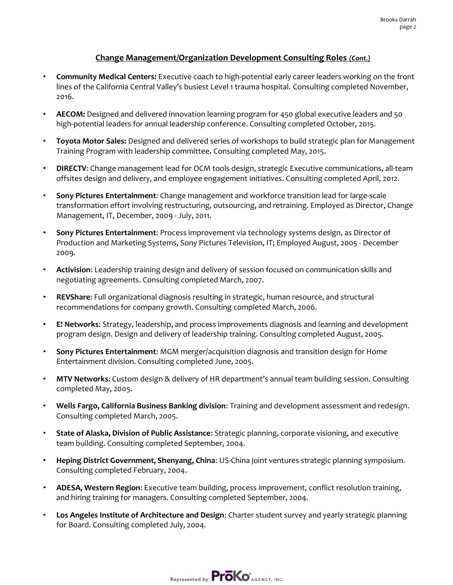# Change Management/Organization Development Consulting Roles (Cont.)

- Community Medical Centers: Executive coach to high-potential early career leaders working on the front lines of the California Central Valley's busiest Level 1 trauma hospital. Consulting completed November, 2016.
- AECOM: Designed and delivered innovation learning program for 450 global executive leaders and 50 high-potential leaders for annual leadership conference. Consulting completed October, 2015.
- **Toyota Motor Sales:** Designed and delivered series of workshops to build strategic plan for Management Training Program with leadership committee. Consulting completed May, 2015.
- DIRECTV: Change management lead for OCM tools design, strategic Executive communications, all-team offsites design and delivery, and employee engagement initiatives. Consulting completed April, 2012.
- Sony Pictures Entertainment: Change management and workforce transition lead for large-scale transformation effort involving restructuring, outsourcing, and retraining. Employed as Director, Change Management, IT, December, 2009 - July, 2011.
- Sony Pictures Entertainment: Process improvement via technology systems design, as Director of Production and Marketing Systems, Sony Pictures Television, IT; Employed August, 2005 - December 2009.
- Activision: Leadership training design and delivery of session focused on communication skills and negotiating agreements. Consulting completed March, 2007.
- REVShare: Full organizational diagnosis resulting in strategic, human resource, and structural recommendations for company growth. Consulting completed March, 2006.
- E! Networks: Strategy, leadership, and process improvements diagnosis and learning and development program design. Design and delivery of leadership training. Consulting completed August, 2005.
- Sony Pictures Entertainment: MGM merger/acquisition diagnosis and transition design for Home Entertainment division. Consulting completed June, 2005.
- MTV Networks: Custom design & delivery of HR department's annual team building session. Consulting completed May, 2005.
- Wells Fargo, California Business Banking division: Training and development assessment and redesign. Consulting completed March, 2005.
- State of Alaska, Division of Public Assistance: Strategic planning, corporate visioning, and executive team building. Consulting completed September, 2004.
- Heping District Government, Shenyang, China: US-China joint ventures strategic planning symposium. Consulting completed February, 2004.
- ADESA, Western Region: Executive team building, process improvement, conflict resolution training, and hiring training for managers. Consulting completed September, 2004.
- Los Angeles Institute of Architecture and Design: Charter student survey and yearly strategic planning for Board. Consulting completed July, 2004.

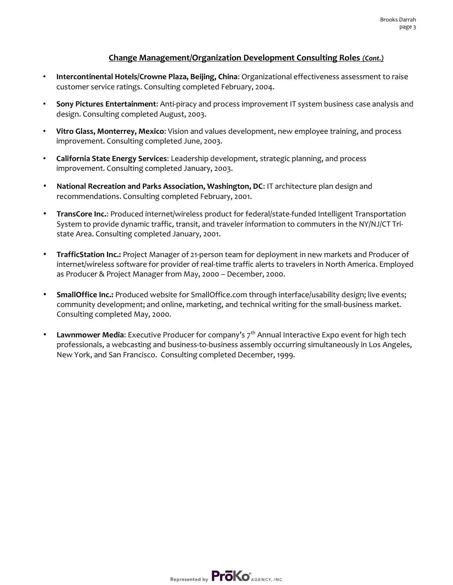# Change Management/Organization Development Consulting Roles (Cont.)

- Intercontinental Hotels/Crowne Plaza, Beijing, China: Organizational effectiveness assessment to raise customer service ratings. Consulting completed February, 2004.
- Sony Pictures Entertainment: Anti-piracy and process improvement IT system business case analysis and design. Consulting completed August, 2003.
- Vitro Glass, Monterrey, Mexico: Vision and values development, new employee training, and process improvement. Consulting completed June, 2003.
- California State Energy Services: Leadership development, strategic planning, and process improvement. Consulting completed January, 2003.
- National Recreation and Parks Association, Washington, DC: IT architecture plan design and recommendations. Consulting completed February, 2001.
- TransCore Inc.: Produced internet/wireless product for federal/state-funded Intelligent Transportation System to provide dynamic traffic, transit, and traveler information to commuters in the NY/NJ/CT Tristate Area. Consulting completed January, 2001.
- TrafficStation Inc.: Project Manager of 21-person team for deployment in new markets and Producer of internet/wireless software for provider of real-time traffic alerts to travelers in North America. Employed as Producer & Project Manager from May, 2000 – December, 2000.
- SmallOffice Inc.: Produced website for SmallOffice.com through interface/usability design; live events; community development; and online, marketing, and technical writing for the small-business market. Consulting completed May, 2000.
- Lawnmower Media: Executive Producer for company's 7<sup>th</sup> Annual Interactive Expo event for high tech professionals, a webcasting and business-to-business assembly occurring simultaneously in Los Angeles, New York, and San Francisco. Consulting completed December, 1999.

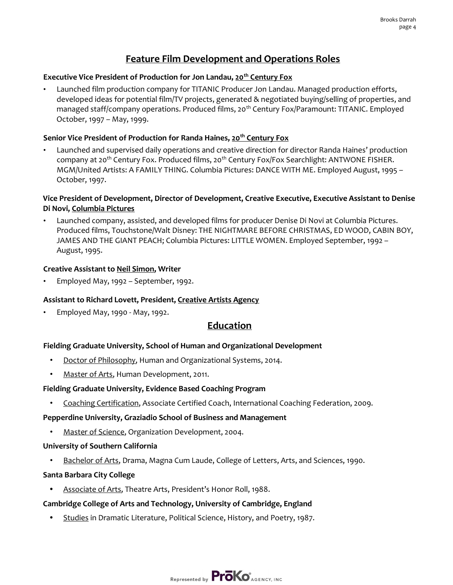# Feature Film Development and Operations Roles

# Executive Vice President of Production for Jon Landau, 20<sup>th</sup> Century Fox

• Launched film production company for TITANIC Producer Jon Landau. Managed production efforts, developed ideas for potential film/TV projects, generated & negotiated buying/selling of properties, and managed staff/company operations. Produced films, 20<sup>th</sup> Century Fox/Paramount: TITANIC. Employed October, 1997 – May, 1999.

# Senior Vice President of Production for Randa Haines, 20<sup>th</sup> Century Fox

• Launched and supervised daily operations and creative direction for director Randa Haines' production company at 20<sup>th</sup> Century Fox. Produced films, 20<sup>th</sup> Century Fox/Fox Searchlight: ANTWONE FISHER. MGM/United Artists: A FAMILY THING. Columbia Pictures: DANCE WITH ME. Employed August, 1995 – October, 1997.

# Vice President of Development, Director of Development, Creative Executive, Executive Assistant to Denise Di Novi, Columbia Pictures

• Launched company, assisted, and developed films for producer Denise Di Novi at Columbia Pictures. Produced films, Touchstone/Walt Disney: THE NIGHTMARE BEFORE CHRISTMAS, ED WOOD, CABIN BOY, JAMES AND THE GIANT PEACH; Columbia Pictures: LITTLE WOMEN. Employed September, 1992 – August, 1995.

#### Creative Assistant to Neil Simon, Writer

• Employed May, 1992 – September, 1992.

#### Assistant to Richard Lovett, President, Creative Artists Agency

• Employed May, 1990 - May, 1992.

# Education

#### Fielding Graduate University, School of Human and Organizational Development

- Doctor of Philosophy, Human and Organizational Systems, 2014.
- Master of Arts, Human Development, 2011.

# Fielding Graduate University, Evidence Based Coaching Program

• Coaching Certification, Associate Certified Coach, International Coaching Federation, 2009.

#### Pepperdine University, Graziadio School of Business and Management

• Master of Science, Organization Development, 2004.

#### University of Southern California

• Bachelor of Arts, Drama, Magna Cum Laude, College of Letters, Arts, and Sciences, 1990.

#### Santa Barbara City College

• Associate of Arts, Theatre Arts, President's Honor Roll, 1988.

# Cambridge College of Arts and Technology, University of Cambridge, England

• Studies in Dramatic Literature, Political Science, History, and Poetry, 1987.

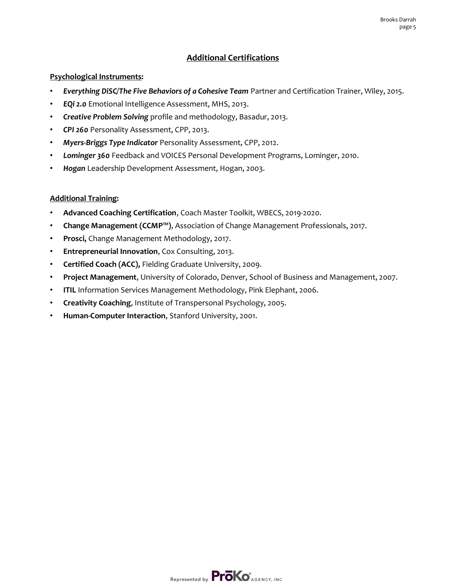# Additional Certifications

# Psychological Instruments:

- Everything DiSC/The Five Behaviors of a Cohesive Team Partner and Certification Trainer, Wiley, 2015.
- EQi 2.0 Emotional Intelligence Assessment, MHS, 2013.
- Creative Problem Solving profile and methodology, Basadur, 2013.
- CPI 260 Personality Assessment, CPP, 2013.
- Myers-Briggs Type Indicator Personality Assessment, CPP, 2012.
- Lominger 360 Feedback and VOICES Personal Development Programs, Lominger, 2010.
- Hogan Leadership Development Assessment, Hogan, 2003.

# Additional Training:

- Advanced Coaching Certification, Coach Master Toolkit, WBECS, 2019-2020.
- Change Management (CCMP™), Association of Change Management Professionals, 2017.
- Prosci, Change Management Methodology, 2017.
- Entrepreneurial Innovation, Cox Consulting, 2013.
- Certified Coach (ACC), Fielding Graduate University, 2009.
- Project Management, University of Colorado, Denver, School of Business and Management, 2007.
- ITIL Information Services Management Methodology, Pink Elephant, 2006.
- Creativity Coaching, Institute of Transpersonal Psychology, 2005.
- Human-Computer Interaction, Stanford University, 2001.

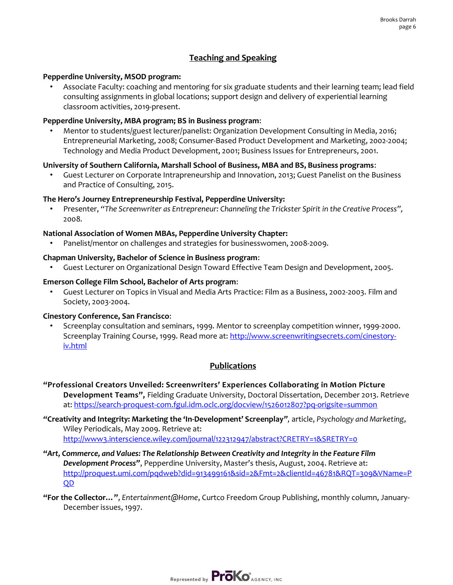# Teaching and Speaking

#### Pepperdine University, MSOD program:

• Associate Faculty: coaching and mentoring for six graduate students and their learning team; lead field consulting assignments in global locations; support design and delivery of experiential learning classroom activities, 2019-present.

# Pepperdine University, MBA program; BS in Business program:

• Mentor to students/guest lecturer/panelist: Organization Development Consulting in Media, 2016; Entrepreneurial Marketing, 2008; Consumer-Based Product Development and Marketing, 2002-2004; Technology and Media Product Development, 2001; Business Issues for Entrepreneurs, 2001.

# University of Southern California, Marshall School of Business, MBA and BS, Business programs:

• Guest Lecturer on Corporate Intrapreneurship and Innovation, 2013; Guest Panelist on the Business and Practice of Consulting, 2015.

# The Hero's Journey Entrepreneurship Festival, Pepperdine University:

• Presenter, "The Screenwriter as Entrepreneur: Channeling the Trickster Spirit in the Creative Process", 2008.

# National Association of Women MBAs, Pepperdine University Chapter:

• Panelist/mentor on challenges and strategies for businesswomen, 2008-2009.

# Chapman University, Bachelor of Science in Business program:

• Guest Lecturer on Organizational Design Toward Effective Team Design and Development, 2005.

# Emerson College Film School, Bachelor of Arts program:

• Guest Lecturer on Topics in Visual and Media Arts Practice: Film as a Business, 2002-2003. Film and Society, 2003-2004.

#### Cinestory Conference, San Francisco:

• Screenplay consultation and seminars, 1999. Mentor to screenplay competition winner, 1999-2000. Screenplay Training Course, 1999. Read more at: http://www.screenwritingsecrets.com/cinestoryiv.html

# Publications

- "Professional Creators Unveiled: Screenwriters' Experiences Collaborating in Motion Picture Development Teams", Fielding Graduate University, Doctoral Dissertation, December 2013. Retrieve at: https://search-proquest-com.fgul.idm.oclc.org/docview/1526012807?pq-origsite=summon
- "Creativity and Integrity: Marketing the 'In-Development' Screenplay", article, Psychology and Marketing, Wiley Periodicals, May 2009. Retrieve at: http://www3.interscience.wiley.com/journal/122312947/abstract?CRETRY=1&SRETRY=0
- "Art, Commerce, and Values: The Relationship Between Creativity and Integrity in the Feature Film Development Process", Pepperdine University, Master's thesis, August, 2004. Retrieve at: http://proquest.umi.com/pqdweb?did=913499161&sid=2&Fmt=2&clientId=46781&RQT=309&VName=P QD
- "For the Collector…", Entertainment@Home, Curtco Freedom Group Publishing, monthly column, January-December issues, 1997.